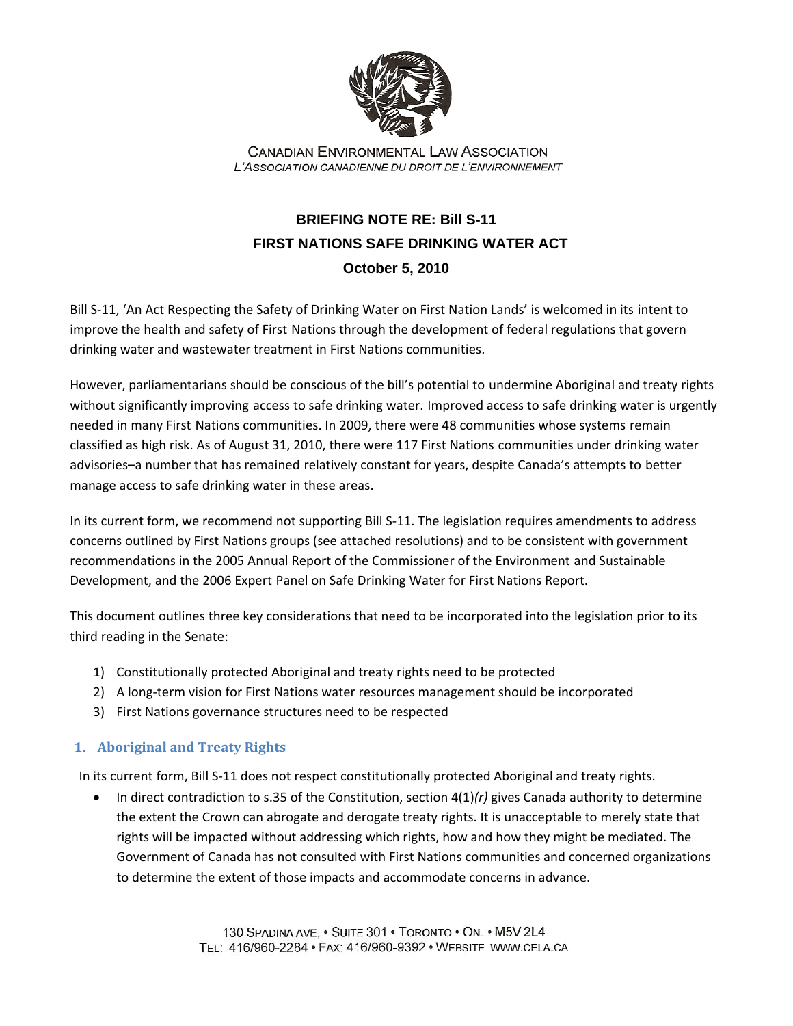

**CANADIAN ENVIRONMENTAL LAW ASSOCIATION** L'ASSOCIATION CANADIENNE DU DROIT DE L'ENVIRONNEMENT

## **BRIEFING NOTE RE: Bill S-11 FIRST NATIONS SAFE DRINKING WATER ACT October 5, 2010**

Bill S-11, 'An Act Respecting the Safety of Drinking Water on First Nation Lands' is welcomed in its intent to improve the health and safety of First Nations through the development of federal regulations that govern drinking water and wastewater treatment in First Nations communities.

However, parliamentarians should be conscious of the bill's potential to undermine Aboriginal and treaty rights without significantly improving access to safe drinking water. Improved access to safe drinking water is urgently needed in many First Nations communities. In 2009, there were 48 communities whose systems remain classified as high risk. As of August 31, 2010, there were 117 First Nations communities under drinking water advisories–a number that has remained relatively constant for years, despite Canada's attempts to better manage access to safe drinking water in these areas.

In its current form, we recommend not supporting Bill S-11. The legislation requires amendments to address concerns outlined by First Nations groups (see attached resolutions) and to be consistent with government recommendations in the 2005 Annual Report of the Commissioner of the Environment and Sustainable Development, and the 2006 Expert Panel on Safe Drinking Water for First Nations Report.

This document outlines three key considerations that need to be incorporated into the legislation prior to its third reading in the Senate:

- 1) Constitutionally protected Aboriginal and treaty rights need to be protected
- 2) A long-term vision for First Nations water resources management should be incorporated
- 3) First Nations governance structures need to be respected

## **1. Aboriginal and Treaty Rights**

In its current form, Bill S‐11 does not respect constitutionally protected Aboriginal and treaty rights.

• In direct contradiction to s.35 of the Constitution, section 4(1)*(r)* gives Canada authority to determine the extent the Crown can abrogate and derogate treaty rights. It is unacceptable to merely state that rights will be impacted without addressing which rights, how and how they might be mediated. The Government of Canada has not consulted with First Nations communities and concerned organizations to determine the extent of those impacts and accommodate concerns in advance.

> 130 SPADINA AVE, . SUITE 301 . TORONTO . ON. . M5V 2L4 TEL: 416/960-2284 · FAX: 416/960-9392 · WEBSITE WWW.CELA.CA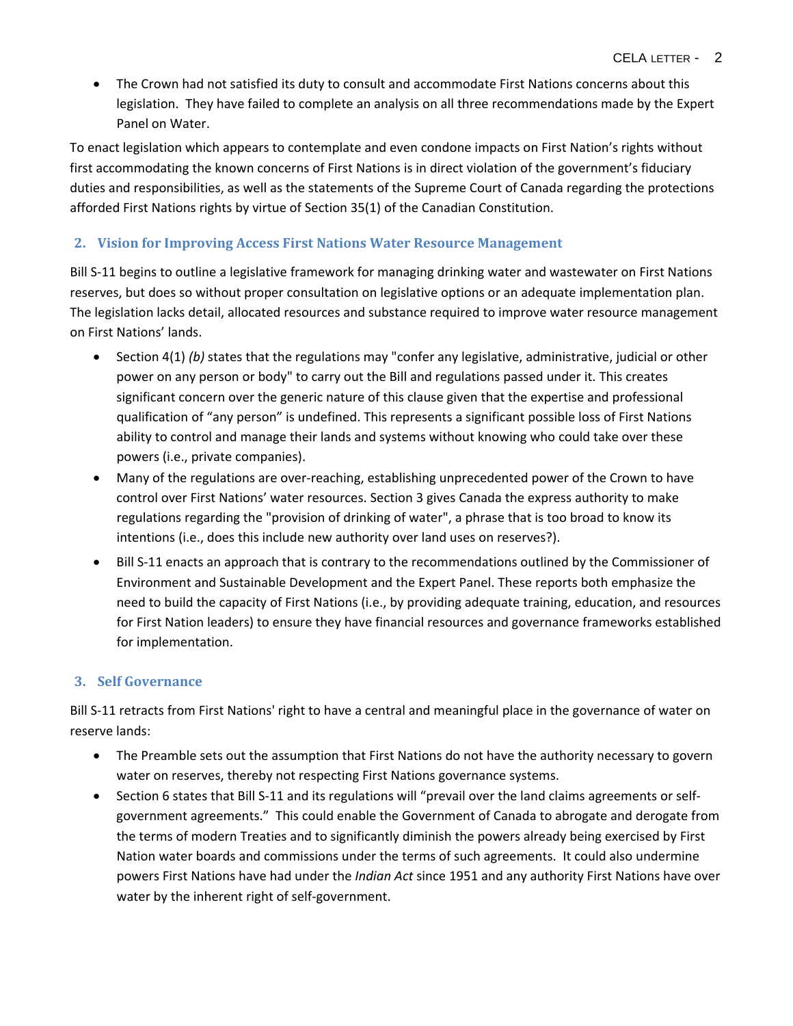• The Crown had not satisfied its duty to consult and accommodate First Nations concerns about this legislation. They have failed to complete an analysis on all three recommendations made by the Expert Panel on Water.

To enact legislation which appears to contemplate and even condone impacts on First Nation's rights without first accommodating the known concerns of First Nations is in direct violation of the government's fiduciary duties and responsibilities, as well as the statements of the Supreme Court of Canada regarding the protections afforded First Nations rights by virtue of Section 35(1) of the Canadian Constitution.

## **2. Vision for Improving Access First Nations Water Resource Management**

Bill S-11 begins to outline a legislative framework for managing drinking water and wastewater on First Nations reserves, but does so without proper consultation on legislative options or an adequate implementation plan. The legislation lacks detail, allocated resources and substance required to improve water resource management on First Nations' lands.

- Section 4(1) *(b)* states that the regulations may "confer any legislative, administrative, judicial or other power on any person or body" to carry out the Bill and regulations passed under it. This creates significant concern over the generic nature of this clause given that the expertise and professional qualification of "any person" is undefined. This represents a significant possible loss of First Nations ability to control and manage their lands and systems without knowing who could take over these powers (i.e., private companies).
- Many of the regulations are over-reaching, establishing unprecedented power of the Crown to have control over First Nations' water resources. Section 3 gives Canada the express authority to make regulations regarding the "provision of drinking of water", a phrase that is too broad to know its intentions (i.e., does this include new authority over land uses on reserves?).
- Bill S-11 enacts an approach that is contrary to the recommendations outlined by the Commissioner of Environment and Sustainable Development and the Expert Panel. These reports both emphasize the need to build the capacity of First Nations (i.e., by providing adequate training, education, and resources for First Nation leaders) to ensure they have financial resources and governance frameworks established for implementation.

## **3. Self Governance**

Bill S-11 retracts from First Nations' right to have a central and meaningful place in the governance of water on reserve lands:

- The Preamble sets out the assumption that First Nations do not have the authority necessary to govern water on reserves, thereby not respecting First Nations governance systems.
- Section 6 states that Bill S-11 and its regulations will "prevail over the land claims agreements or selfgovernment agreements." This could enable the Government of Canada to abrogate and derogate from the terms of modern Treaties and to significantly diminish the powers already being exercised by First Nation water boards and commissions under the terms of such agreements. It could also undermine powers First Nations have had under the *Indian Act* since 1951 and any authority First Nations have over water by the inherent right of self‐government.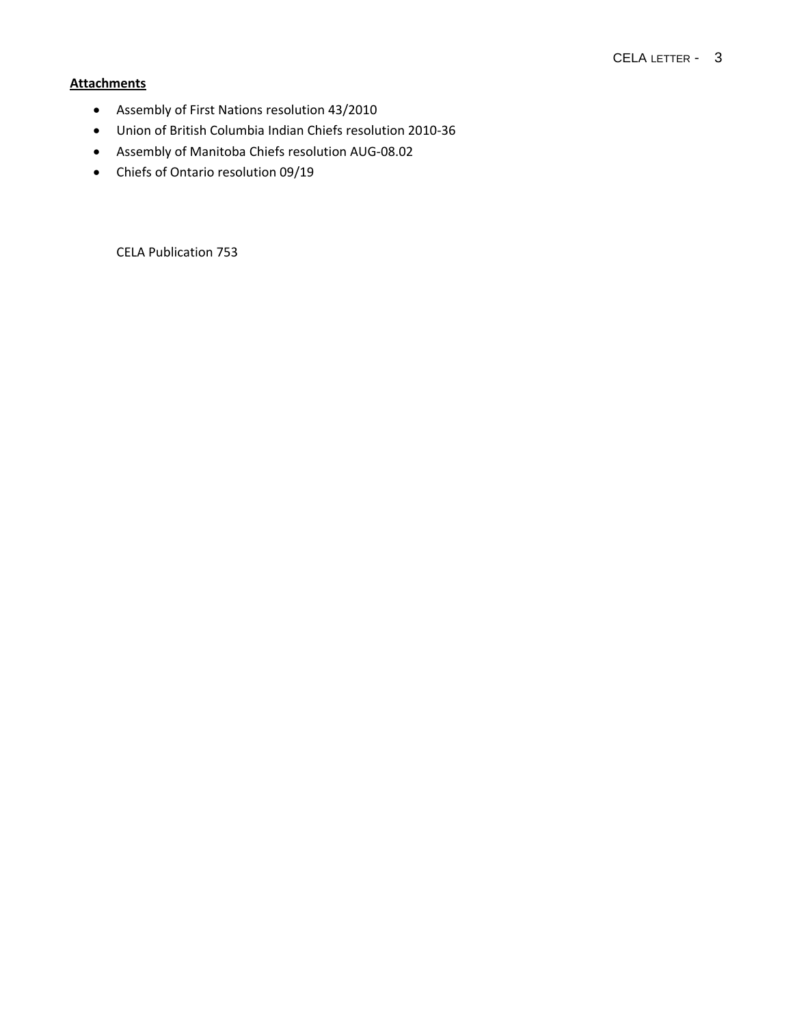## **Attachments**

- Assembly of First Nations resolution 43/2010
- Union of British Columbia Indian Chiefs resolution 2010‐36
- Assembly of Manitoba Chiefs resolution AUG‐08.02
- Chiefs of Ontario resolution 09/19

CELA Publication 753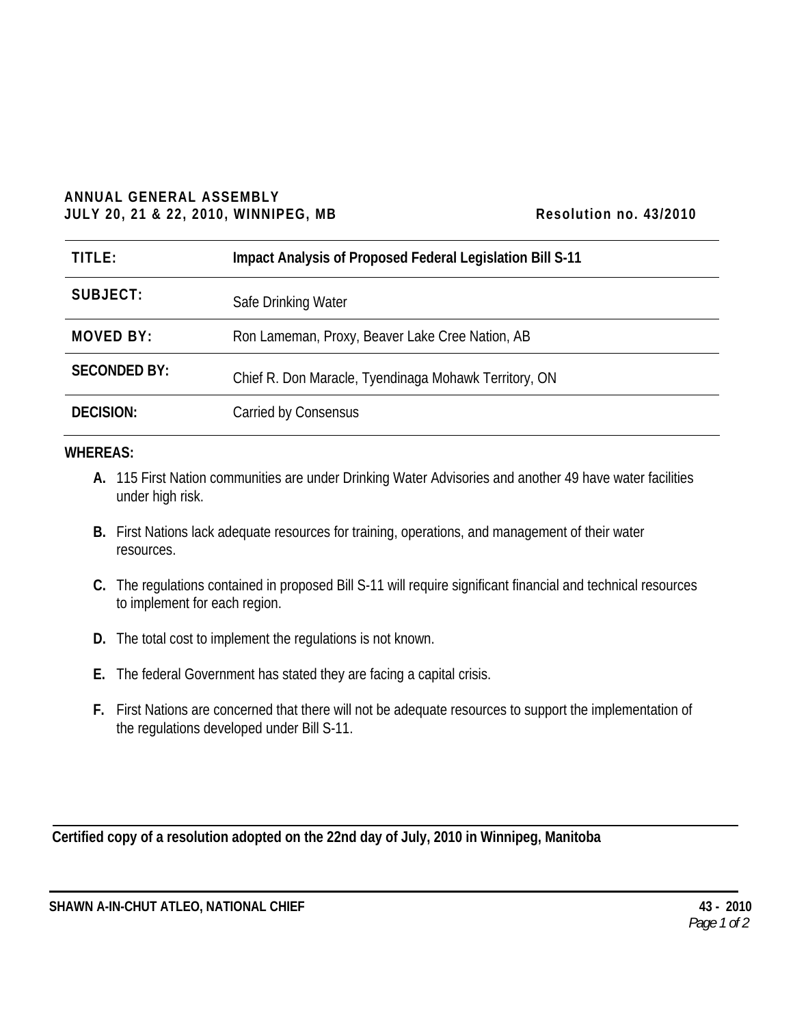## **ANNUAL GENERAL ASSEMBLY JULY 20, 21 & 22, 2010, WINNIPEG, MB Resolution no. 43/2010**

| TITLE:              | Impact Analysis of Proposed Federal Legislation Bill S-11 |
|---------------------|-----------------------------------------------------------|
| SUBJECT:            | Safe Drinking Water                                       |
| MOVED BY:           | Ron Lameman, Proxy, Beaver Lake Cree Nation, AB           |
| <b>SECONDED BY:</b> | Chief R. Don Maracle, Tyendinaga Mohawk Territory, ON     |
| <b>DECISION:</b>    | Carried by Consensus                                      |

## **WHEREAS:**

- **A.** 115 First Nation communities are under Drinking Water Advisories and another 49 have water facilities under high risk.
- **B.** First Nations lack adequate resources for training, operations, and management of their water resources.
- **C.** The regulations contained in proposed Bill S-11 will require significant financial and technical resources to implement for each region.
- **D.** The total cost to implement the regulations is not known.
- **E.** The federal Government has stated they are facing a capital crisis.
- **F.** First Nations are concerned that there will not be adequate resources to support the implementation of the regulations developed under Bill S-11.

**Certified copy of a resolution adopted on the 22nd day of July, 2010 in Winnipeg, Manitoba**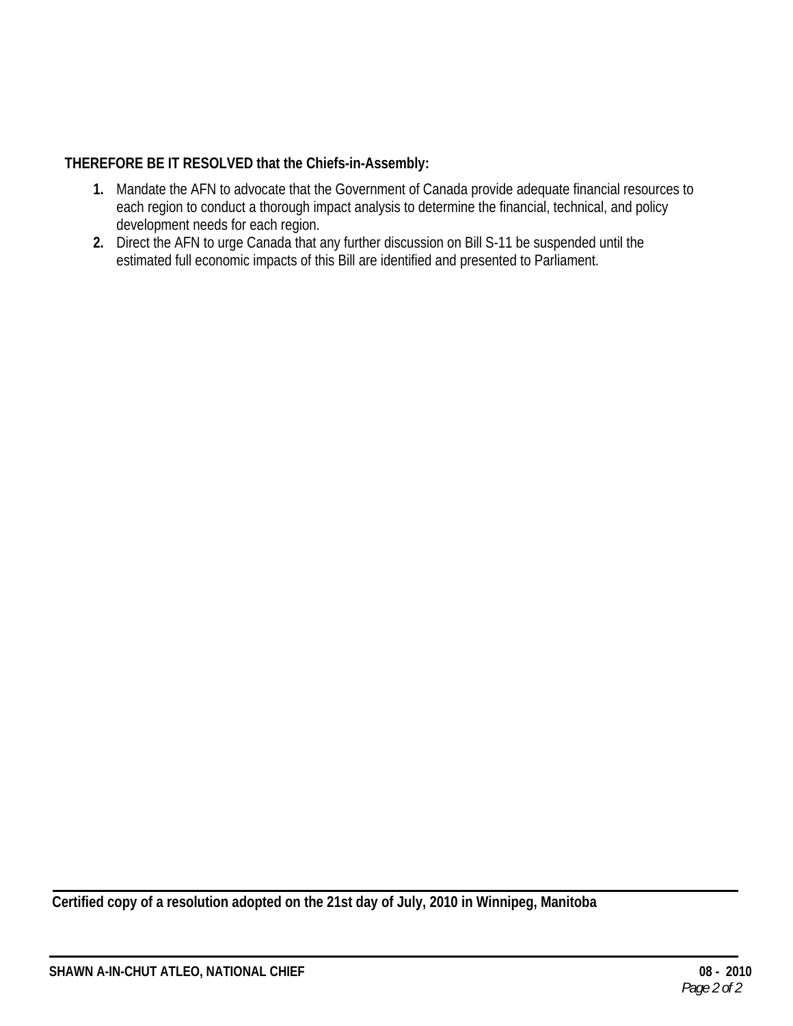## **THEREFORE BE IT RESOLVED that the Chiefs-in-Assembly:**

- **1.** Mandate the AFN to advocate that the Government of Canada provide adequate financial resources to each region to conduct a thorough impact analysis to determine the financial, technical, and policy development needs for each region.
- **2.** Direct the AFN to urge Canada that any further discussion on Bill S-11 be suspended until the estimated full economic impacts of this Bill are identified and presented to Parliament.

**Certified copy of a resolution adopted on the 21st day of July, 2010 in Winnipeg, Manitoba**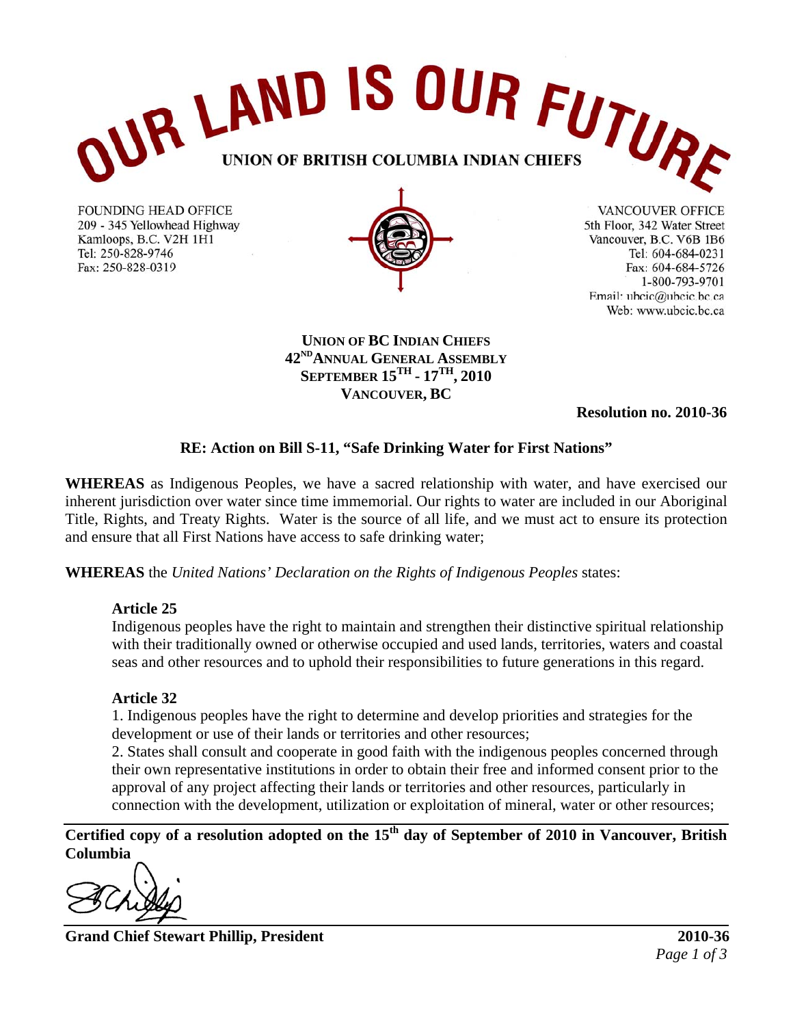

**FOUNDING HEAD OFFICE** 209 - 345 Yellowhead Highway Kamloops, B.C. V2H 1H1 Tel: 250-828-9746 Fax: 250-828-0319



VANCOUVER OFFICE 5th Floor, 342 Water Street Vancouver, B.C. V6B 1B6 Tel: 604-684-0231 Fax: 604-684-5726 1-800-793-9701 Email: ubcic@ubcic.bc.ca Web: www.ubcic.bc.ca

**UNION OF BC INDIAN CHIEFS 42NDANNUAL GENERAL ASSEMBLY SEPTEMBER 15TH - 17TH, 2010 VANCOUVER, BC** 

**Resolution no. 2010-36** 

## **RE: Action on Bill S-11, "Safe Drinking Water for First Nations"**

**WHEREAS** as Indigenous Peoples, we have a sacred relationship with water, and have exercised our inherent jurisdiction over water since time immemorial. Our rights to water are included in our Aboriginal Title, Rights, and Treaty Rights. Water is the source of all life, and we must act to ensure its protection and ensure that all First Nations have access to safe drinking water;

**WHEREAS** the *United Nations' Declaration on the Rights of Indigenous Peoples* states:

## **Article 25**

Indigenous peoples have the right to maintain and strengthen their distinctive spiritual relationship with their traditionally owned or otherwise occupied and used lands, territories, waters and coastal seas and other resources and to uphold their responsibilities to future generations in this regard.

## **Article 32**

1. Indigenous peoples have the right to determine and develop priorities and strategies for the development or use of their lands or territories and other resources;

2. States shall consult and cooperate in good faith with the indigenous peoples concerned through their own representative institutions in order to obtain their free and informed consent prior to the approval of any project affecting their lands or territories and other resources, particularly in connection with the development, utilization or exploitation of mineral, water or other resources;

**Certified copy of a resolution adopted on the 15th day of September of 2010 in Vancouver, British Columbia** 

**Grand Chief Stewart Phillip, President 2010-36**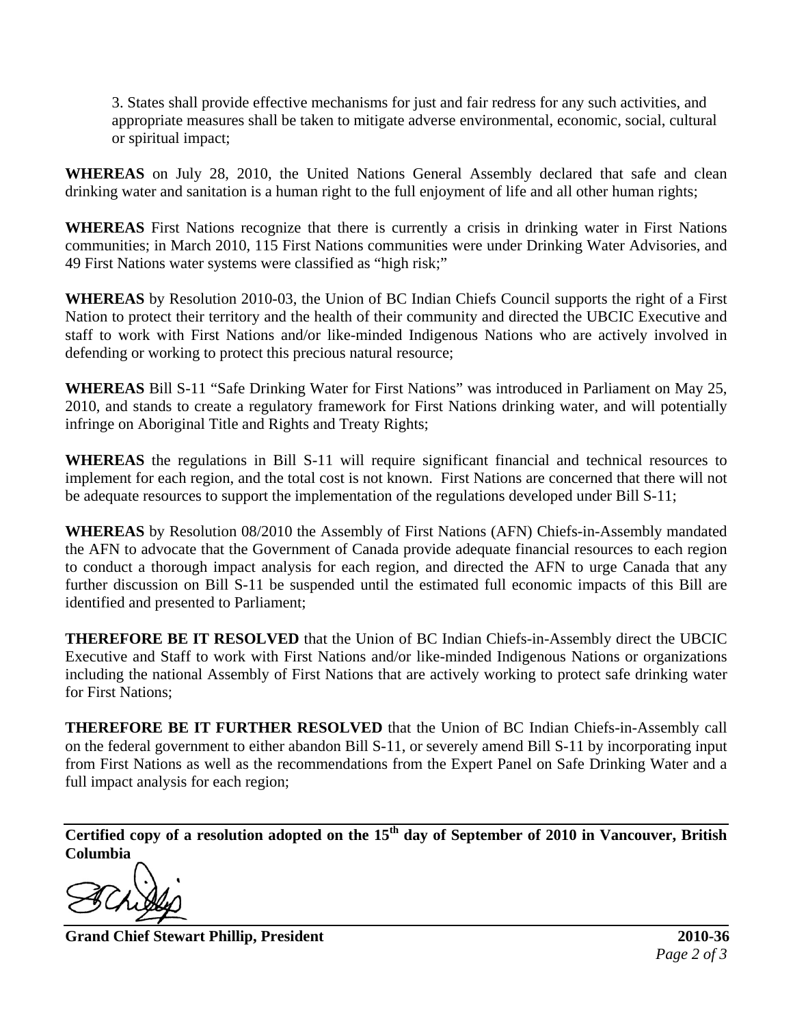3. States shall provide effective mechanisms for just and fair redress for any such activities, and appropriate measures shall be taken to mitigate adverse environmental, economic, social, cultural or spiritual impact;

**WHEREAS** on July 28, 2010, the United Nations General Assembly declared that safe and clean drinking water and sanitation is a human right to the full enjoyment of life and all other human rights;

**WHEREAS** First Nations recognize that there is currently a crisis in drinking water in First Nations communities; in March 2010, 115 First Nations communities were under Drinking Water Advisories, and 49 First Nations water systems were classified as "high risk;"

**WHEREAS** by Resolution 2010-03, the Union of BC Indian Chiefs Council supports the right of a First Nation to protect their territory and the health of their community and directed the UBCIC Executive and staff to work with First Nations and/or like-minded Indigenous Nations who are actively involved in defending or working to protect this precious natural resource;

**WHEREAS** Bill S-11 "Safe Drinking Water for First Nations" was introduced in Parliament on May 25, 2010, and stands to create a regulatory framework for First Nations drinking water, and will potentially infringe on Aboriginal Title and Rights and Treaty Rights;

**WHEREAS** the regulations in Bill S-11 will require significant financial and technical resources to implement for each region, and the total cost is not known. First Nations are concerned that there will not be adequate resources to support the implementation of the regulations developed under Bill S-11;

**WHEREAS** by Resolution 08/2010 the Assembly of First Nations (AFN) Chiefs-in-Assembly mandated the AFN to advocate that the Government of Canada provide adequate financial resources to each region to conduct a thorough impact analysis for each region, and directed the AFN to urge Canada that any further discussion on Bill S-11 be suspended until the estimated full economic impacts of this Bill are identified and presented to Parliament;

**THEREFORE BE IT RESOLVED** that the Union of BC Indian Chiefs-in-Assembly direct the UBCIC Executive and Staff to work with First Nations and/or like-minded Indigenous Nations or organizations including the national Assembly of First Nations that are actively working to protect safe drinking water for First Nations;

**THEREFORE BE IT FURTHER RESOLVED** that the Union of BC Indian Chiefs-in-Assembly call on the federal government to either abandon Bill S-11, or severely amend Bill S-11 by incorporating input from First Nations as well as the recommendations from the Expert Panel on Safe Drinking Water and a full impact analysis for each region;

**Certified copy of a resolution adopted on the 15th day of September of 2010 in Vancouver, British Columbia** 

**Grand Chief Stewart Phillip, President 2010-36**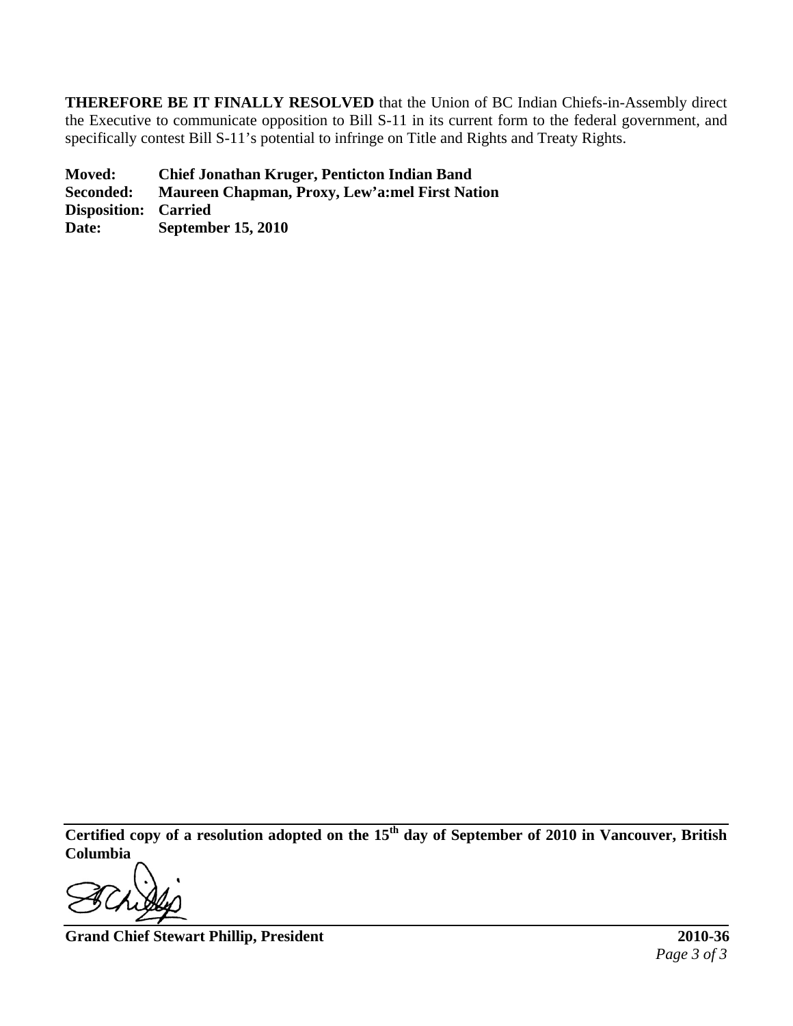**THEREFORE BE IT FINALLY RESOLVED** that the Union of BC Indian Chiefs-in-Assembly direct the Executive to communicate opposition to Bill S-11 in its current form to the federal government, and specifically contest Bill S-11's potential to infringe on Title and Rights and Treaty Rights.

**Moved: Chief Jonathan Kruger, Penticton Indian Band Seconded: Maureen Chapman, Proxy, Lew'a:mel First Nation Disposition: Carried Date: September 15, 2010** 

**Certified copy of a resolution adopted on the 15th day of September of 2010 in Vancouver, British Columbia** 

**Grand Chief Stewart Phillip, President 2010-36**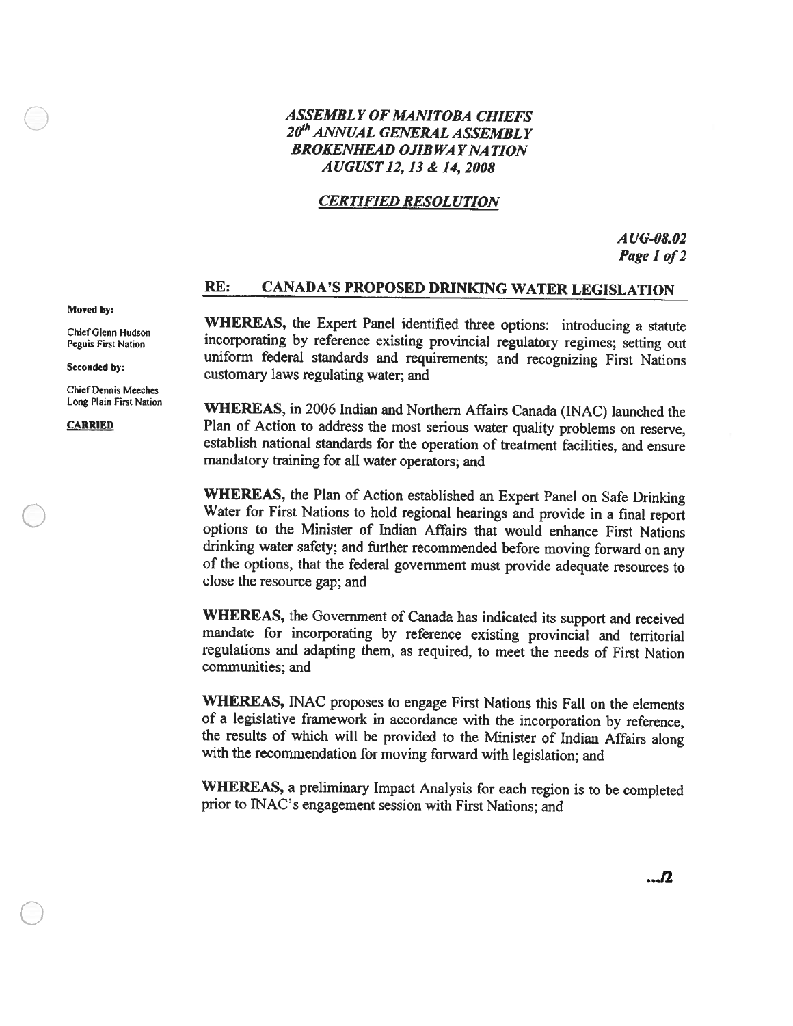## **ASSEMBLY OF MANITOBA CHIEFS** 20<sup>th</sup> ANNUAL GENERAL ASSEMBLY **BROKENHEAD OJIBWAY NATION** AUGUST 12, 13 & 14, 2008

## **CERTIFIED RESOLUTION**

 $AUG-08.02$ Page 1 of 2

#### RE: **CANADA'S PROPOSED DRINKING WATER LEGISLATION**

WHEREAS, the Expert Panel identified three options: introducing a statute incorporating by reference existing provincial regulatory regimes; setting out uniform federal standards and requirements; and recognizing First Nations customary laws regulating water; and

WHEREAS, in 2006 Indian and Northern Affairs Canada (INAC) launched the Plan of Action to address the most serious water quality problems on reserve, establish national standards for the operation of treatment facilities, and ensure mandatory training for all water operators; and

WHEREAS, the Plan of Action established an Expert Panel on Safe Drinking Water for First Nations to hold regional hearings and provide in a final report options to the Minister of Indian Affairs that would enhance First Nations drinking water safety; and further recommended before moving forward on any of the options, that the federal government must provide adequate resources to close the resource gap; and

WHEREAS, the Government of Canada has indicated its support and received mandate for incorporating by reference existing provincial and territorial regulations and adapting them, as required, to meet the needs of First Nation communities; and

WHEREAS, INAC proposes to engage First Nations this Fall on the elements of a legislative framework in accordance with the incorporation by reference, the results of which will be provided to the Minister of Indian Affairs along with the recommendation for moving forward with legislation; and

WHEREAS, a preliminary Impact Analysis for each region is to be completed prior to INAC's engagement session with First Nations; and

### Moved by:

Chief Glenn Hudson Peguis First Nation

Seconded by:

**Chief Dennis Meeches** Long Plain First Nation

**CARRIED**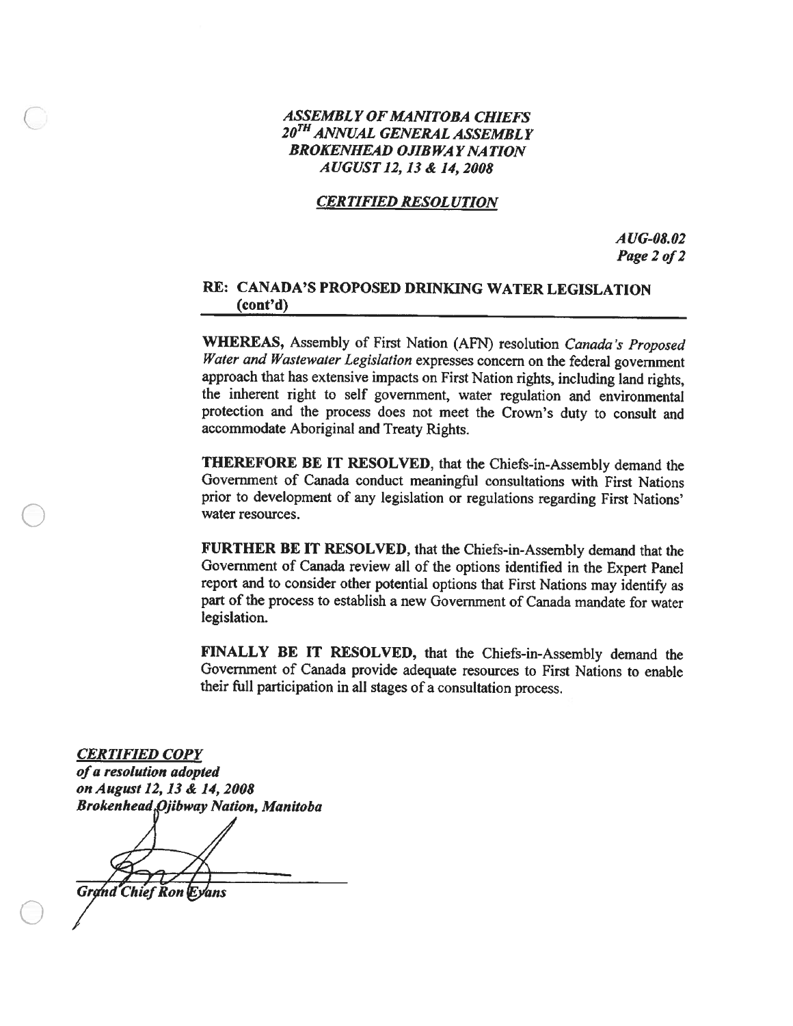## **ASSEMBLY OF MANITOBA CHIEFS** 20<sup>TH</sup> ANNUAL GENERAL ASSEMBLY **BROKENHEAD OJIBWAY NATION** AUGUST 12, 13 & 14, 2008

## **CERTIFIED RESOLUTION**

 $AUG-08.02$ Page 2 of 2

## RE: CANADA'S PROPOSED DRINKING WATER LEGISLATION  $(cont'd)$

**WHEREAS, Assembly of First Nation (AFN) resolution Canada's Proposed** Water and Wastewater Legislation expresses concern on the federal government approach that has extensive impacts on First Nation rights, including land rights, the inherent right to self government, water regulation and environmental protection and the process does not meet the Crown's duty to consult and accommodate Aboriginal and Treaty Rights.

THEREFORE BE IT RESOLVED, that the Chiefs-in-Assembly demand the Government of Canada conduct meaningful consultations with First Nations prior to development of any legislation or regulations regarding First Nations' water resources.

FURTHER BE IT RESOLVED, that the Chiefs-in-Assembly demand that the Government of Canada review all of the options identified in the Expert Panel report and to consider other potential options that First Nations may identify as part of the process to establish a new Government of Canada mandate for water legislation.

FINALLY BE IT RESOLVED, that the Chiefs-in-Assembly demand the Government of Canada provide adequate resources to First Nations to enable their full participation in all stages of a consultation process.

**CERTIFIED COPY** 

of a resolution adopted on August 12, 13 & 14, 2008 **Brokenhead Ojibway Nation, Manitoba** 

**Grand Chief Ron Eyans**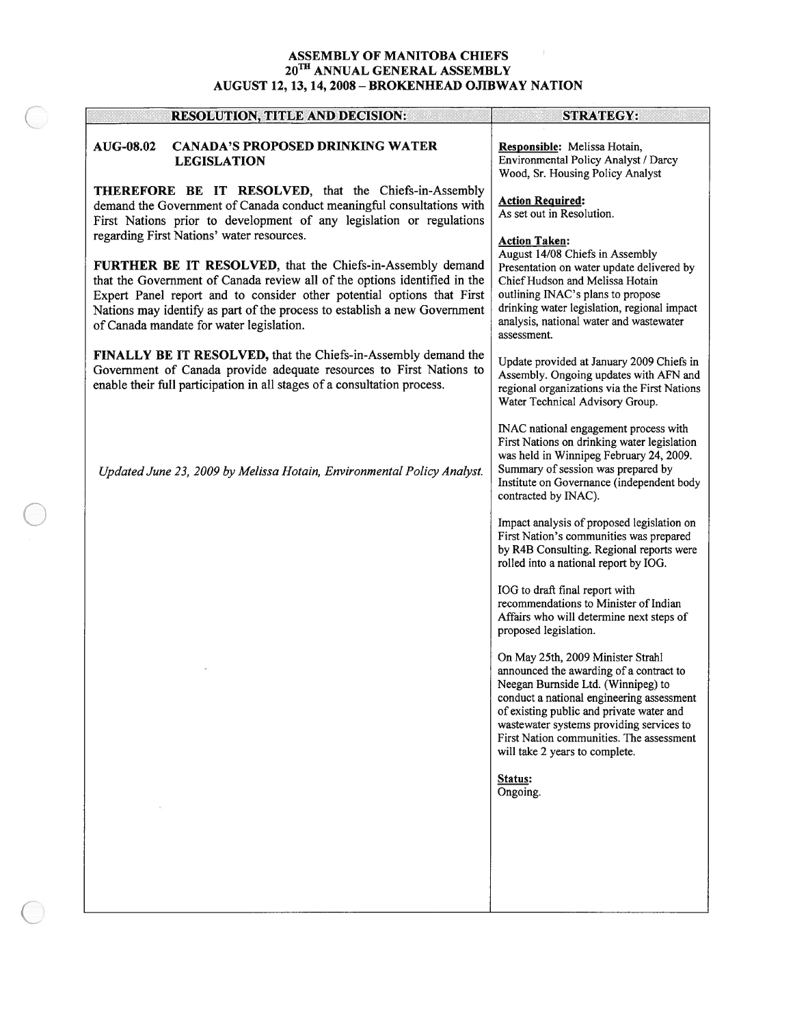# ${\bf ASSEMBLY \: OF \: MANITOBA \: CHIEFS} \\ {\bf 20}^{\rm TH \: ANNUAL \: GENERAL \: ASSEMBLY} \\ {\bf AUGUST \: 12, 13, 14, 2008 - BROKENHEAD \: OJIBWAY \: NATION}$

| <b>RESOLUTION, TITLE AND DECISION:</b>                                                                                                                                                                                                                                                                                                                                                  | <b>STRATEGY:</b>                                                                                                                                                                                                                                                                                                                      |
|-----------------------------------------------------------------------------------------------------------------------------------------------------------------------------------------------------------------------------------------------------------------------------------------------------------------------------------------------------------------------------------------|---------------------------------------------------------------------------------------------------------------------------------------------------------------------------------------------------------------------------------------------------------------------------------------------------------------------------------------|
| AUG-08.02<br><b>CANADA'S PROPOSED DRINKING WATER</b><br><b>LEGISLATION</b>                                                                                                                                                                                                                                                                                                              | Responsible: Melissa Hotain,<br>Environmental Policy Analyst / Darcy<br>Wood, Sr. Housing Policy Analyst                                                                                                                                                                                                                              |
| <b>THEREFORE BE IT RESOLVED</b> , that the Chiefs-in-Assembly<br>demand the Government of Canada conduct meaningful consultations with<br>First Nations prior to development of any legislation or regulations                                                                                                                                                                          | <b>Action Required:</b><br>As set out in Resolution.                                                                                                                                                                                                                                                                                  |
| regarding First Nations' water resources.<br>FURTHER BE IT RESOLVED, that the Chiefs-in-Assembly demand<br>that the Government of Canada review all of the options identified in the<br>Expert Panel report and to consider other potential options that First<br>Nations may identify as part of the process to establish a new Government<br>of Canada mandate for water legislation. | <b>Action Taken:</b><br>August 14/08 Chiefs in Assembly<br>Presentation on water update delivered by<br>Chief Hudson and Melissa Hotain<br>outlining INAC's plans to propose<br>drinking water legislation, regional impact<br>analysis, national water and wastewater<br>assessment.                                                 |
| FINALLY BE IT RESOLVED, that the Chiefs-in-Assembly demand the<br>Government of Canada provide adequate resources to First Nations to<br>enable their full participation in all stages of a consultation process.                                                                                                                                                                       | Update provided at January 2009 Chiefs in<br>Assembly. Ongoing updates with AFN and<br>regional organizations via the First Nations<br>Water Technical Advisory Group.                                                                                                                                                                |
| Updated June 23, 2009 by Melissa Hotain, Environmental Policy Analyst.                                                                                                                                                                                                                                                                                                                  | INAC national engagement process with<br>First Nations on drinking water legislation<br>was held in Winnipeg February 24, 2009.<br>Summary of session was prepared by<br>Institute on Governance (independent body<br>contracted by INAC).                                                                                            |
|                                                                                                                                                                                                                                                                                                                                                                                         | Impact analysis of proposed legislation on<br>First Nation's communities was prepared<br>by R4B Consulting. Regional reports were<br>rolled into a national report by IOG.                                                                                                                                                            |
|                                                                                                                                                                                                                                                                                                                                                                                         | IOG to draft final report with<br>recommendations to Minister of Indian<br>Affairs who will determine next steps of<br>proposed legislation.                                                                                                                                                                                          |
|                                                                                                                                                                                                                                                                                                                                                                                         | On May 25th, 2009 Minister Strahl<br>announced the awarding of a contract to<br>Neegan Burnside Ltd. (Winnipeg) to<br>conduct a national engineering assessment<br>of existing public and private water and<br>wastewater systems providing services to<br>First Nation communities. The assessment<br>will take 2 years to complete. |
|                                                                                                                                                                                                                                                                                                                                                                                         | Status:<br>Ongoing.                                                                                                                                                                                                                                                                                                                   |
|                                                                                                                                                                                                                                                                                                                                                                                         |                                                                                                                                                                                                                                                                                                                                       |
|                                                                                                                                                                                                                                                                                                                                                                                         |                                                                                                                                                                                                                                                                                                                                       |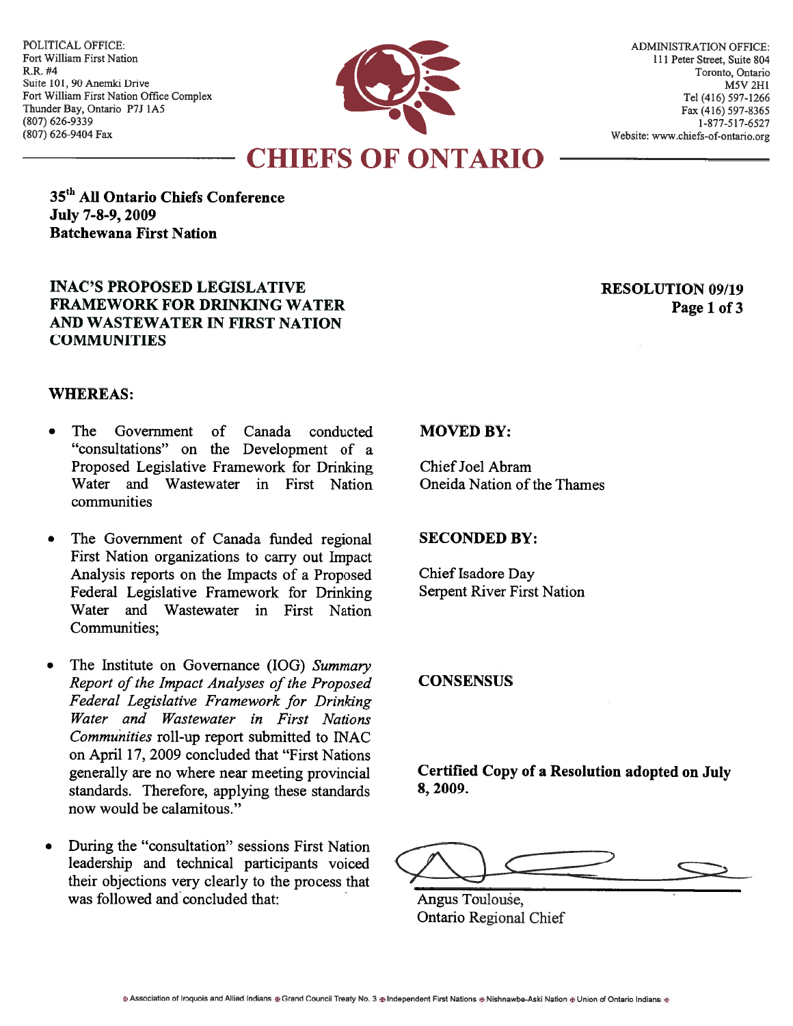POLITICAL OFFICE: Fort William First Nation R.R. #4 Suite 101, 90 Anemki Drive Fort William First Nation Office Complex Thunder Bay, Ontario P7J 1A5 (807) 626-9339 (807) 626-9404 Fax



35<sup>th</sup> All Ontario Chiefs Conference July 7-8-9, 2009 **Batchewana First Nation** 

## **INAC'S PROPOSED LEGISLATIVE FRAMEWORK FOR DRINKING WATER** AND WASTEWATER IN FIRST NATION **COMMUNITIES**

## **RESOLUTION 09/19** Page 1 of 3

## **WHEREAS:**

- The Government  $of$ Canada conducted "consultations" on the Development of a Proposed Legislative Framework for Drinking Water and Wastewater in First Nation communities
- The Government of Canada funded regional  $\bullet$ First Nation organizations to carry out Impact Analysis reports on the Impacts of a Proposed Federal Legislative Framework for Drinking Water and Wastewater in First Nation Communities:
- The Institute on Governance (IOG) Summary Report of the Impact Analyses of the Proposed Federal Legislative Framework for Drinking Water and Wastewater in First Nations Communities roll-up report submitted to INAC on April 17, 2009 concluded that "First Nations generally are no where near meeting provincial standards. Therefore, applying these standards now would be calamitous."
- During the "consultation" sessions First Nation leadership and technical participants voiced their objections very clearly to the process that was followed and concluded that:

## **MOVED BY:**

Chief Joel Abram Oneida Nation of the Thames

## **SECONDED BY:**

Chief Isadore Day Serpent River First Nation

## **CONSENSUS**

Certified Copy of a Resolution adopted on July 8, 2009.

Angus Toulouse, **Ontario Regional Chief**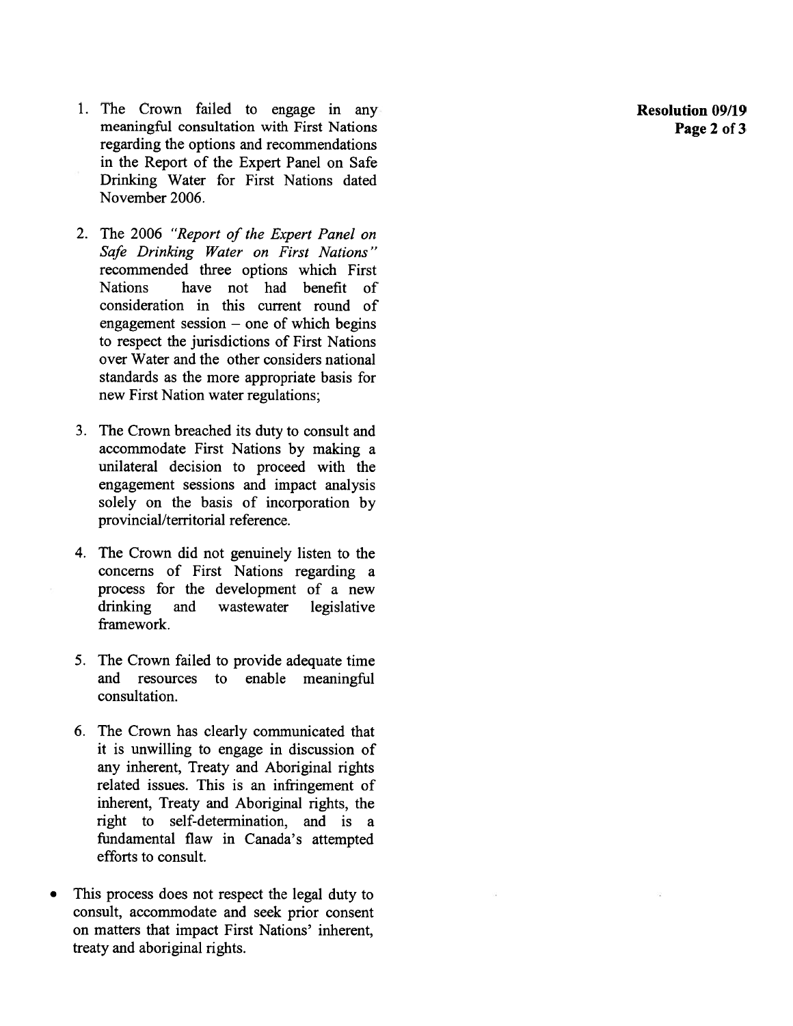- 1. The Crown failed to engage in any meaningful consultation with First Nations regarding the options and recommendations in the Report of the Expert Panel on Safe Drinking Water for First Nations dated November 2006.
- 2. The 2006 "Report of the Expert Panel on Safe Drinking Water on First Nations" recommended three options which First **Nations** have not had benefit of consideration in this current round of engagement session  $-$  one of which begins to respect the jurisdictions of First Nations over Water and the other considers national standards as the more appropriate basis for new First Nation water regulations;
- 3. The Crown breached its duty to consult and accommodate First Nations by making a unilateral decision to proceed with the engagement sessions and impact analysis solely on the basis of incorporation by provincial/territorial reference.
- 4. The Crown did not genuinely listen to the concerns of First Nations regarding a process for the development of a new drinking and wastewater legislative framework.
- 5. The Crown failed to provide adequate time and resources to enable meaningful consultation.
- 6. The Crown has clearly communicated that it is unwilling to engage in discussion of any inherent, Treaty and Aboriginal rights related issues. This is an infringement of inherent, Treaty and Aboriginal rights, the right to self-determination, and is a fundamental flaw in Canada's attempted efforts to consult.
- This process does not respect the legal duty to consult, accommodate and seek prior consent on matters that impact First Nations' inherent, treaty and aboriginal rights.

**Resolution 09/19** Page 2 of 3